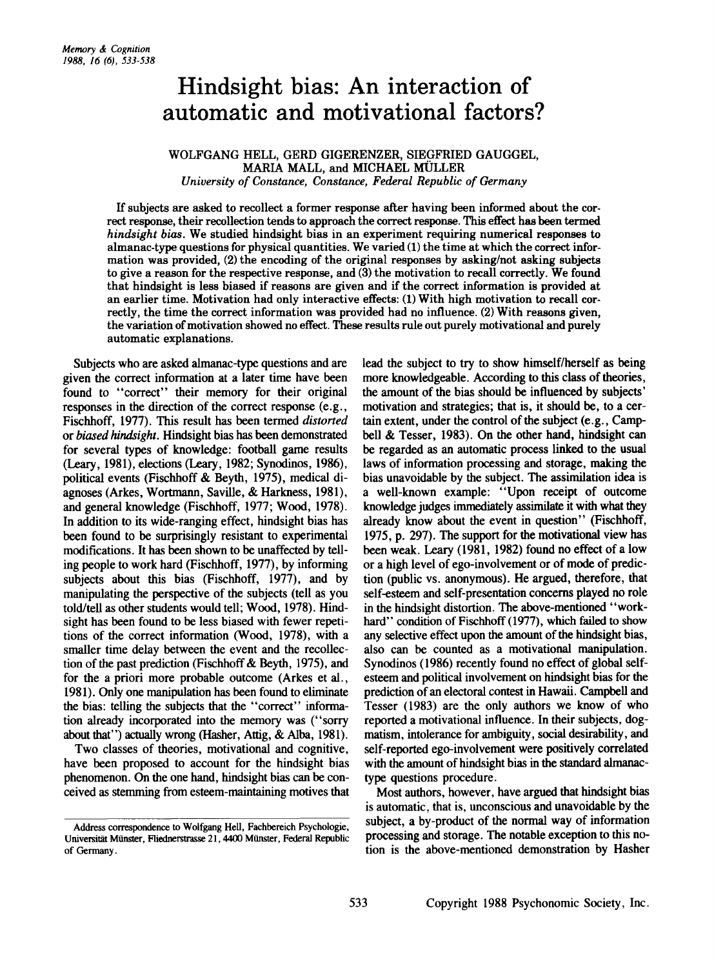# **Hindsight bias: An interaction of automatic and motivational factors?**

# WOLFGANG HELL, GERD GIGERENZER, SIEGFRIED GAUGGEL, MARIA MALL, and MICHAEL MULLER *University of Constance, Constance, Federal Republic of Germany*

If subjects are asked to recollect a former response after having been informed about the correct response, their recollection tends to approach the correct response. This effect has been termed *hindsight bias.* We studied hindsight bias in an experiment requiring numerical responses to almanac-type questions for physical quantities. We varied (l) the time at which the correct information was provided,  $(2)$  the encoding of the original responses by asking/not asking subjects to give a reason for the respective response, and  $(3)$  the motivation to recall correctly. We found that hindsight is less biased if reasons are given and if the correct information is provided at an earlier time. Motivation had only interactive effects: (1)With high motivation to recall correctly, the time the correct information was provided had no influence. (2) With reasons given, the variation of motivation showed no effect. These results rule out purely motivational and purely automatic explanations.

Subjects who are asked almanac-type questions and are given the correct information at a later time have been found to "correct" their memory for their original responses in the direction of the correct response (e.g. , Fischhoff, 1977). This result has been termed *distorted* or *biasedhindsight.* Hindsight bias has been demonstrated for several types of knowledge: football game results (Leary, 1981), elections (Leary, 1982; Synodinos, 1986), political events (Fischhoff & Beyth, 1975), medical diagnoses (Arkes, Wortmann, Saville, & Harkness, 1981), and general knowledge (Fischhoff, 1977; Wood, 1978). In addition to its wide-ranging effect, hindsight bias has been found to be surprisingly resistant to experimental modifications. It has been shown to be unaffected by telling people to work hard (Fischhoff, 1977), by informing subjects about this bias (Fischhoff, 1977), and by manipulating the perspective of the subjects (tell as you told/tell as other students would tell; Wood, 1978). Hindsight has been found to be less biased with fewer repetitions of the correct information (Wood, 1978), with a smaller time delay between the event and the recollection of the past prediction (Fischhoff & Beyth, 1975), and for the a priori more probable outcome (Arkes et al., 1981). Only one manipulation has been found to eliminate the bias: telling the subjects that the "correct" information already incorporated into the memory was ("sorry about that") actually wrong (Hasher, Attig, & Alba, 1981).

Two classes of theories, motivational and cognitive, have been proposed to account for the hindsight bias phenomenon. On the one hand, hindsight bias can be conceived as stemming from esteem-maintaining motives that lead the subject to try to show himself/herself as being more knowledgeable. According to this class of theories, the amount of the bias should be influenced by subjects' motivation and strategies; that is, it should be, to a certain extent, under the control of the subject (e.g., Campbell & Tesser, 1983). On the other hand, hindsight can be regarded as an automatic process linked to the usual laws of information processing and storage, making the bias unavoidable by the subject. The assimilation idea is a well-known example: "Upon receipt of outcome knowledge judges immediately assimilate it with what they already know about the event in question" (Fischhoff, 1975, p. 297). The support for the motivational view has been weak. Leary (1981, 1982) found no effect of a low or a high level of ego-involvement or of mode of prediction (public vs. anonymous). He argued, therefore, that self-esteem and self-presentation concerns played no role in the hindsight distortion. The above-mentioned "workhard" condition of Fischhoff (1977), which failed to show any selective effect upon the amount of the hindsight bias, also can be counted as a motivational manipulation. Synodinos (1986) recently found no effect of global selfesteem and political involvement on hindsight bias for the prediction of an electoral contest in Hawaii. Campbell and Tesser (1983) are the only authors we know of who reported a motivational influence. In their subjects, dogmatism, intolerance for ambiguity, social desirability, and self-reported ego-involvement were positively correlated with the amount of hindsight bias in the standard almanactype questions procedure.

Most authors, however, have argued that hindsight bias is automatic, that is, unconscious and unavoidable by the subject, a by-product of the normal way of information processing and storage. The notable exception to this notion is the above-mentioned demonstration by Hasher

Address correspondence to Wolfgang Hell, Fachbereich Psychologie, Universität Münster, Fliednerstrasse 21, 4400 Münster, Federal Republic of Germany.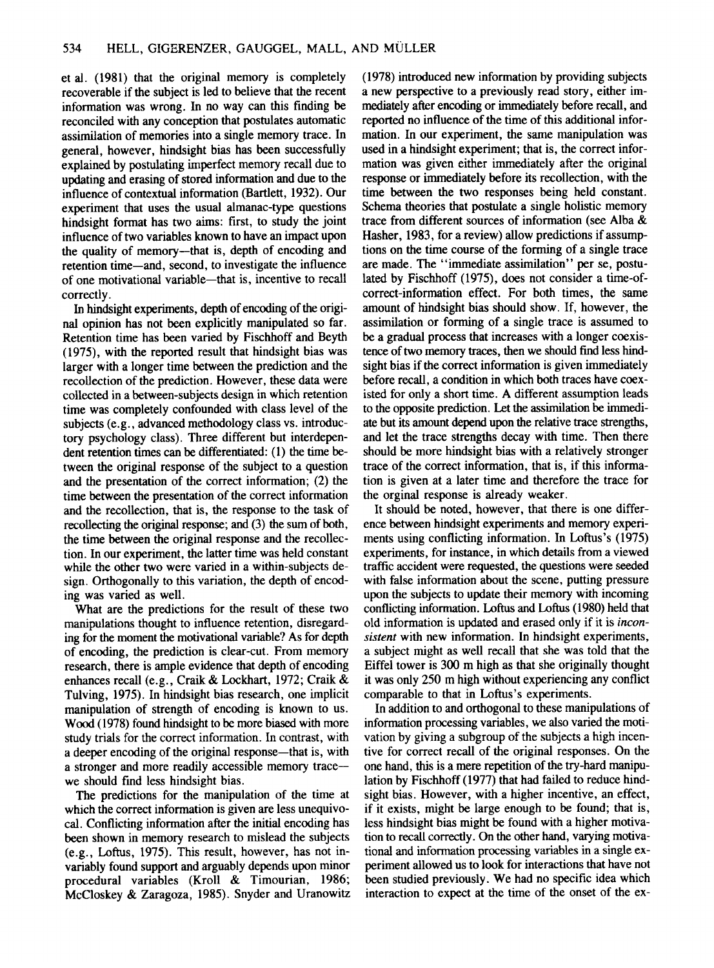et al. (1981) that the original memory is completely recoverable if the subject is led to believe that the recent information was wrong. In no way can this finding be reconciled with any conception that postulates automatic assimilation of memories into a single memory trace. In general, however, hindsight bias has been successfully explained by postulating imperfect memory recall due to updating and erasing of stored information and due to the influence of contextual information (Bartlett, 1932). Our experiment that uses the usual almanac-type questions hindsight format has two aims: first, to study the joint influence of two variables known to have an impact upon the quality of memory-that is, depth of encoding and retention time-and, second, to investigate the influence of one motivational variable-that is, incentive to recall correctly.

In hindsight experiments, depth of encoding of the original opinion has not been explicitly manipulated so far. Retention time has been varied by Fischhoff and Beyth (1975), with the reported result that hindsight bias was larger with a longer time between the prediction and the recollection of the prediction. However, these data were collected in a between-subjects design in which retention time was completely confounded with class level of the subjects (e.g., advanced methodology class vs. introductory psychology class). Three different but interdependent retention times can be differentiated: (1) the time between the original response of the subject to a question and the presentation of the correct information; (2) the time between the presentation of the correct information and the recollection, that is, the response to the task of recollecting the original response; and (3) the sum of both, the time between the original response and the recollection. In our experiment, the latter time was held constant while the other two were varied in a within-subjects design. Orthogonally to this variation, the depth of encoding was varied as well.

What are the predictions for the result of these two manipulations thought to influence retention, disregarding for the moment the motivational variable? As for depth of encoding, the prediction is clear-cut. From memory research, there is ample evidence that depth of encoding enhances recall (e.g., Craik & Lockhart, 1972; Craik & Tulving, 1975). In hindsight bias research, one implicit manipulation of strength of encoding is known to us. Wood (1978) found hindsight to be more biased with more study trials for the correct information. In contrast, with a deeper encoding of the original response—that is, with a stronger and more readily accessible memory tracewe should find less hindsight bias.

The predictions for the manipulation of the time at which the correct information is given are less unequivocal. Conflicting information after the initial encoding has been shown in memory research to mislead the subjects (e.g., Loftus, 1975). This result, however, has not invariably found support and arguably depends upon minor procedural variables (Kroll & Timourian, 1986; McCloskey & Zaragoza, 1985). Snyder and Uranowitz

(1978) introduced new information by providing subjects a new perspective to a previously read story, either immediately after encoding or immediately before recall, and reported no influence of the time of this additional information. In our experiment, the same manipulation was used in a hindsight experiment; that is, the correct information was given either immediately after the original response or immediately before its recollection, with the time between the two responses being held constant. Schema theories that postulate a single holistic memory trace from different sources of information (see Alba & Hasher, 1983, for a review) allow predictions if assumptions on the time course of the forming of a single trace are made. The "immediate assimilation" per se, postulated by Fischhoff (1975), does not consider a time-ofcorrect-information effect. For both times, the same amount of hindsight bias should show. If, however, the assimilation or forming of a single trace is assumed to be a gradual process that increases with a longer coexistence of two memory traces, then we should find less hindsight bias if the correct information is given immediately before recall, a condition in which both traces have coexisted for only a short time. A different assumption leads to the opposite prediction. Let the assimilation be immediate but its amount depend upon the relative trace strengths, and let the trace strengths decay with time. Then there should be more hindsight bias with a relatively stronger trace of the correct information, that is, if this information is given at a later time and therefore the trace for the orginal response is already weaker.

It should be noted, however, that there is one difference between hindsight experiments and memory experiments using conflicting information. In Loftus's (1975) experiments, for instance, in which details from a viewed traffic accident were requested, the questions were seeded with false information about the scene, putting pressure upon the subjects to update their memory with incoming conflicting information. Loftus and Loftus (1980) held that old information is updated and erased only if it is *inconsistent* with new information. In hindsight experiments, a subject might as well recall that she was told that the Eiffel tower is 300 m high as that she originally thought it was only 250 m high without experiencing any conflict comparable to that in Loftus's experiments.

In addition to and orthogonal to these manipulations of information processing variables, we also varied the motivation by giving a subgroup of the subjects a high incentive for correct recall of the original responses. On the one hand, this is a mere repetition of the try-hard manipulation by Fischhoff (1977) that had failed to reduce hindsight bias. However, with a higher incentive, an effect, if it exists, might be large enough to be found; that is, less hindsight bias might be found with a higher motivation to recall correctly. On the other hand, varying motivational and information processing variables in a single experiment allowed us to look for interactions that have not been studied previously. We had no specific idea which interaction to expect at the time of the onset of the ex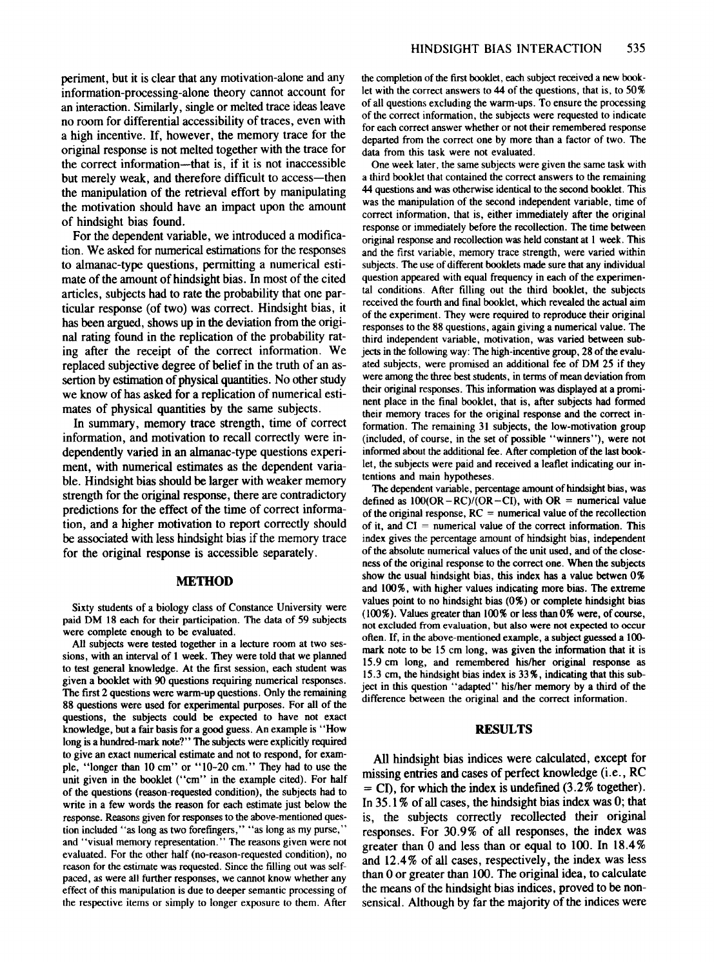periment, but it is clear that any motivation-alone and any information-processing-alone theory cannot account for an interaction. Similarly, single or melted trace ideas leave no room for differential accessibility of traces, even with a high incentive. If, however, the memory trace for the original response is not melted together with the trace for the correct information-that is, if it is not inaccessible but merely weak, and therefore difficult to access-then the manipulation of the retrieval effort by manipulating the motivation should have an impact upon the amount of hindsight bias found.

For the dependent variable, we introduced a modification. We asked for numerical estimations for the responses to almanac-type questions, permitting a numerical estimate of the amount of hindsight bias. In most of the cited articles, subjects had to rate the probability that one particular response (of two) was correct. Hindsight bias, it has been argued, shows up in the deviation from the original rating found in the replication of the probability rating after the receipt of the correct information. We replaced subjective degree of belief in the truth of an assertion by estimation of physical quantities. No other study we know of has asked for a replication of numerical estimates of physical quantities by the same subjects.

In summary, memory trace strength, time of correct information, and motivation to recall correctly were independently varied in an almanac-type questions experiment, with numerical estimates as the dependent variable. Hindsight bias should be larger with weaker memory strength for the original response, there are contradictory predictions for the effect of the time of correct information, and a higher motivation to report correctly should be associated with less hindsight bias if the memory trace for the original response is accessible separately.

### **METHOD**

Sixty students of a biology class of Constance University were paid DM 18 each for their participation. The data of 59 subjects were complete enough to be evaluated.

All subjects were tested together in a lecture room at two sessions, with an interval of 1 week. They were told that we planned to test general knowledge. At the first session, each student was given a booklet with 90 questions requiring numerical responses. The first 2 questions were warm-up questions. Only the remaining 88 questions were used for experimental purposes. For all of the questions, the subjects could be expected to have not exact knowledge, but a fair basis for a good guess. An example is •'How long is a hundred-mark note?" The subjects were explicitly required to give an exact numerical estimate and not to respond, for example, "longer than 10 em" or "10-20 em." They had to use the unit given in the booklet ("cm" in the example cited). For half of the questions (reason-requested condition), the subjects had to write in a few words the reason for each estimate just below the response. Reasons given for responses to the above-mentioned question included "as long as two forefingers," "as long as my purse," and "visual memory representation." The reasons given were not evaluated. For the other half (no-reason-requested condition), no reason for the estimate was requested. Since the filling out was selfpaced, as were all further responses, we cannot know whether any effect of this manipulation is due to deeper semantic processing of the respective items or simply to longer exposure to them. After

the completion of the first booklet, each subject received a new booklet with the correct answers to 44 of the questions, that is, to 50% of all questions excluding the warm-ups. To ensure the processing of the correct information, the subjects were requested to indicate for each correct answer whether or not their remembered response departed from the correct one by more than a factor of two. The data from this task were not evaluated.

One week later, the same subjects were given the same task with a third booklet that contained the correct answers to the remaining 44 questions and was otherwise identical to the second booklet. This was the manipulation of the second independent variable, time of correct information, that is, either immediately after the original response or immediately before the recollection. The time between original response and recollection was held constant at I week. This and the first variable, memory trace strength, were varied within subjects. The use of different booklets made sure that any individual question appeared with equal frequency in each of the experimental conditions. After filling out the third booklet, the subjects received the fourth and final booklet, which revealed the actual aim of the experiment. They were required to reproduce their original responses to the 88 questions, again giving a numerical value. The third independent variable, motivation, was varied between subjects in the following way: The high-incentive group, 28 of the evaluated subjects, were promised an additional fee of DM 25 if they were among the three best students, in terms of mean deviation from their original responses. This information was displayed at a prominent place in the final booklet, that is, after subjects had formed their memory traces for the original response and the correct information. The remaining 31 subjects, the low-motivation group (included, of course, in the set of possible "winners"), were not informed about the additional fee. After completion of the last booklet, the subjects were paid and received a leaflet indicating our intentions and main hypotheses.

The dependent variable, percentage amount of hindsight bias, was defined as  $100(OR - RC)/(OR - CI)$ , with OR = numerical value of the original response,  $RC =$  numerical value of the recollection of it, and  $CI$  = numerical value of the correct information. This index gives the percentage amount of hindsight bias, independent of the absolute numerical values of the unit used, and of the closeness of the original response to the correct one. When the subjects show the usual hindsight bias, this index has a value betwen 0% and 100%, with higher values indicating more bias. The extreme values point to no hindsight bias (0%) or complete hindsight bias (100%). Values greater than 100% or less than 0% were, of course, not excluded from evaluation, but also were not expected to occur often. If, in the above-mentioned example, a subject guessed a 100 mark note to be 15 em long, was given the information that it is 15.9 em long, and remembered his/her original response as 15.3 em, the hindsight bias index is 33%, indicating that this subject in this question "adapted" his/her memory by a third of the difference between the original and the correct information.

#### RESULTS

All hindsight bias indices were calculated, except for missing entries and cases of perfect knowledge (i.e., RC  $=$  CI), for which the index is undefined (3.2% together). In 35.1% of all cases, the hindsight bias index was 0; that is, the subjects correctly recollected their original responses. For 30.9% of all responses, the index was greater than 0 and less than or equal to 100. In 18.4% and 12.4% of all cases, respectively, the index was less than 0 or greater than 100. The original idea, to calculate the means of the hindsight bias indices, proved to be nonsensical. Although by far the majority of the indices were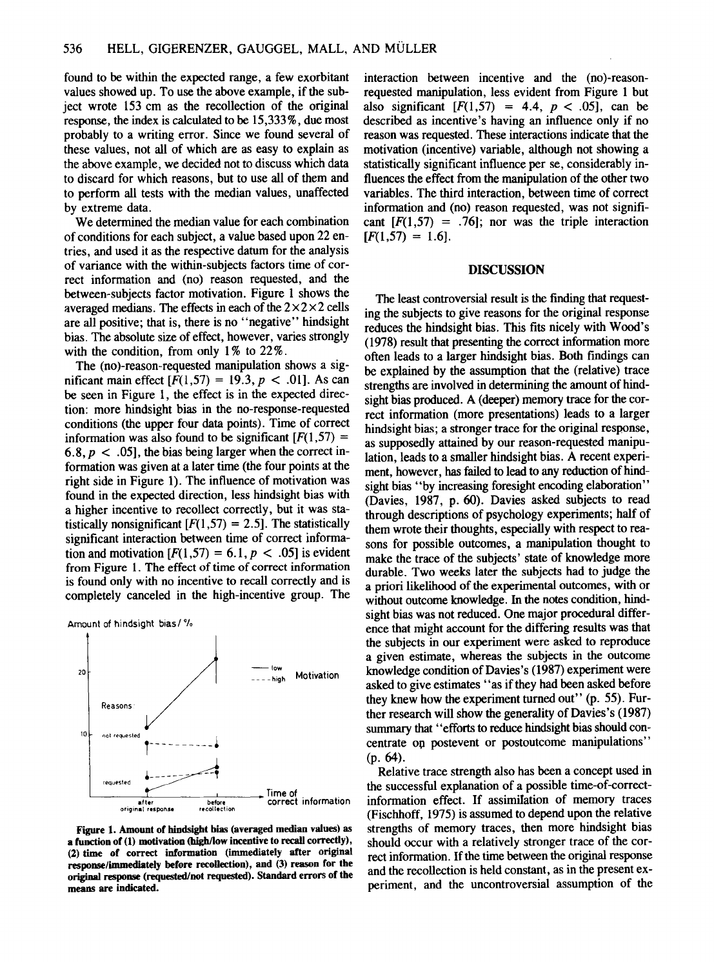found to be within the expected range, a few exorbitant values showed up. To use the above example, if the subject wrote 153 cm as the recollection of the original response, the index is calculated to be 15,333%, due most probably to a writing error. Since we found several of these values, not all of which are as easy to explain as the above example, we decided not to discuss which data to discard for which reasons, but to use all of them and to perform all tests with the median values, unaffected by extreme data.

We determined the median value for each combination of conditions for each subject, a value based upon 22 entries, and used it as the respective datum for the analysis of variance with the within-subjects factors time of correct information and (no) reason requested, and the between-subjects factor motivation. Figure 1 shows the averaged medians. The effects in each of the  $2 \times 2 \times 2$  cells are all positive; that is, there is no "negative" hindsight bias. The absolute size of effect, however, varies strongly with the condition, from only  $1\%$  to  $22\%$ .

The (noj-reason-requested manipulation shows a significant main effect  $[F(1,57) = 19.3, p < .01]$ . As can be seen in Figure 1, the effect is in the expected direction: more hindsight bias in the no-response-requested conditions (the upper four data points). Time of correct information was also found to be significant  $[F(1,57) =$  $6.8, p < .05$ , the bias being larger when the correct information was given at a later time (the four points at the right side in Figure 1). The influence of motivation was found in the expected direction, less hindsight bias with a higher incentive to recollect correctly, but it was statistically nonsignificant  $[F(1,57) = 2.5]$ . The statistically significant interaction between time of correct information and motivation  $[F(1,57) = 6.1, p < .05]$  is evident from Figure 1. The effect of time of correct information is found only with no incentive to recall correctly and is completely canceled in the high-incentive group. The





Figure 1. Amount of hindsight bias (averaged median values) as a function of (1) motivation (high/low incentive to recall correctly), (2) time of correct information (immediately after original response/immediately before recollection), and (3) reason for the original response (requested/not requested). Standard errors of the means are indicated.

interaction between incentive and the (no)-reasonrequested manipulation, less evident from Figure 1 but also significant  $[F(1,57) = 4.4, p < .05]$ , can be described as incentive's having an influence only if no reason was requested. These interactions indicate that the motivation (incentive) variable, although not showing a statistically significant influence per se, considerably influences the effect from the manipulation of the other two variables. The third interaction, between time of correct information and (no) reason requested, was not significant  $[F(1,57) = .76]$ ; nor was the triple interaction  $[F(1,57) = 1.6].$ 

## DISCUSSION

The least controversial result is the finding that requesting the subjects to give reasons for the original response reduces the hindsight bias. This fits nicely with Wood's (1978) result that presenting the correct information more often leads to a larger hindsight bias. Both findings can be explained by the assumption that the (relative) trace strengths are involved in determining the amount of hindsight bias produced. A (deeper) memory trace for the correct information (more presentations) leads to a larger hindsight bias; a stronger trace for the original response, as supposedly attained by our reason-requested manipulation, leads to a smaller hindsight bias. A recent experiment, however, has failed to lead to any reduction of hindsight bias "by increasing foresight encoding elaboration" (Davies, 1987, p. 60). Davies asked subjects to read through descriptions of psychology experiments; half of them wrote their thoughts, especially with respect to reasons for possible outcomes, a manipulation thought to make the trace of the subjects' state of knowledge more durable. Two weeks later the subjects had to judge the a priori likelihood of the experimental outcomes, with or without outcome knowledge. In the notes condition, hindsight bias was not reduced. One major procedural difference that might account for the differing results was that the subjects in our experiment were asked to reproduce a given estimate, whereas the subjects in the outcome knowledge condition of Davies's (1987) experiment were asked to give estimates "as if they had been asked before they knew how the experiment turned out" (p. 55). Further research will show the generality of Davies's (1987) summary that "efforts to reduce hindsight bias should concentrate on postevent or postoutcome manipulations" (p. 64).

Relative trace strength also has been a concept used in the successful explanation of a possible time-of-correctinformation effect. If assimilation of memory traces (Fischhoff, 1975) is assumed to depend upon the relative strengths of memory traces, then more hindsight bias should occur with a relatively stronger trace of the correct information. If the time between the original response and the recollection is held constant, as in the present experiment, and the uncontroversial assumption of the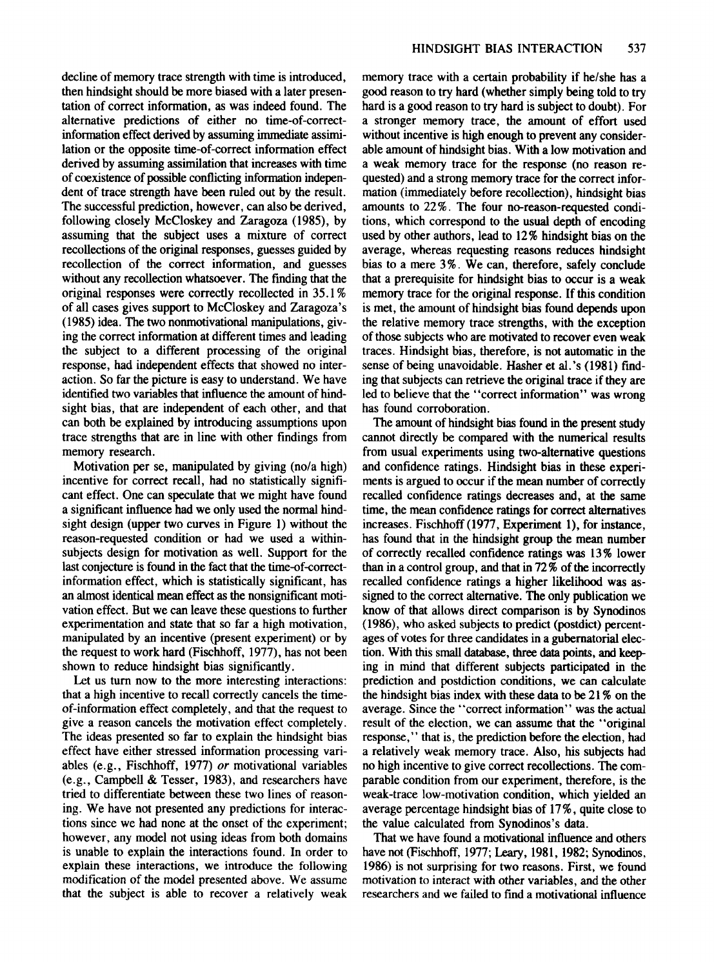decline of memory trace strength with time is introduced, then hindsight should be more biased with a later presentation of correct information, as was indeed found. The alternative predictions of either no time-of-correctinformation effect derived by assuming immediate assimilation or the opposite time-of-correct information effect derived by assuming assimilation that increases with time of coexistence of possible conflicting information independent of trace strength have been ruled out by the result. The successful prediction, however, can also be derived, following closely McCloskey and Zaragoza (1985), by assuming that the subject uses a mixture of correct recollections of the original responses, guesses guided by recollection of the correct information, and guesses without any recollection whatsoever. The finding that the original responses were correctly recollected in 35.1 % of all cases gives support to McCloskey and Zaragoza's (1985) idea. The two nonmotivational manipulations, giving the correct information at different times and leading the subject to a different processing of the original response, had independent effects that showed no interaction. So far the picture is easy to understand. We have identified two variables that influence the amount of hindsight bias, that are independent of each other, and that can both be explained by introducing assumptions upon trace strengths that are in line with other findings from memory research.

Motivation per se, manipulated by giving (no/a high) incentive for correct recall, had no statistically significant effect. One can speculate that we might have found a significant influence had we only used the normal hindsight design (upper two curves in Figure I) without the reason-requested condition or had we used a withinsubjects design for motivation as well. Support for the last conjecture is found in the fact that the time-of-eorrectinformation effect, which is statistically significant, has an almost identical mean effect as the nonsignificant motivation effect. But we can leave these questions to further experimentation and state that so far a high motivation, manipulated by an incentive (present experiment) or by the request to work hard (Fischhoff, 1977), has not been shown to reduce hindsight bias significantly.

Let us tum now to the more interesting interactions: that a high incentive to recall correctly cancels the timeof-information effect completely, and that the request to give a reason cancels the motivation effect completely. The ideas presented so far to explain the hindsight bias effect have either stressed information processing variables (e.g., Fischhoff, 1977) *or* motivational variables (e.g., Campbell & Tesser, 1983), and researchers have tried to differentiate between these two lines of reasoning. We have not presented any predictions for interactions since we had none at the onset of the experiment; however, any model not using ideas from both domains is unable to explain the interactions found. In order to explain these interactions, we introduce the following modification of the model presented above. We assume that the subject is able to recover a relatively weak memory trace with a certain probability if he/she has a good reason to try hard (whether simply being told to try hard is a good reason to try hard is subject to doubt). For a stronger memory trace, the amount of effort used without incentive is high enough to prevent any considerable amount of hindsight bias. With a low motivation and a weak memory trace for the response (no reason requested) and a strong memory trace for the correct information (immediately before recollection), hindsight bias amounts to 22%. The four no-reason-requested conditions, which correspond to the usual depth of encoding used by other authors, lead to 12% hindsight bias on the average, whereas requesting reasons reduces hindsight bias to a mere 3%. We can, therefore, safely conclude that a prerequisite for hindsight bias to occur is a weak memory trace for the original response. If this condition is met, the amount of hindsight bias found depends upon the relative memory trace strengths, with the exception of those subjects who are motivated to recover even weak traces. Hindsight bias, therefore, is not automatic in the sense of being unavoidable. Hasher et al. 's (1981) finding that subjects can retrieve the original trace if they are led to believe that the "correct information" was wrong has found corroboration.

The amount of hindsight bias found in the present study cannot directly be compared with the numerical results from usual experiments using two-alternative questions and confidence ratings. Hindsight bias in these experiments is argued to occur if the mean number of correctly recalled confidence ratings decreases and, at the same time, the mean confidence ratings for correct alternatives increases. Fischhoff (1977, Experiment I), for instance, has found that in the hindsight group the mean number of correctly recalled confidence ratings was 13% lower than in a control group, and that in 72% of the incorrectly recalled confidence ratings a higher likelihood was assigned to the correct alternative. The only publication we know of that allows direct comparison is by Synodinos (1986), who asked subjects to predict (postdiet) percentages of votes for three candidates in a gubernatorial election. With this small database, three data points, and keeping in mind that different subjects participated in the prediction and postdiction conditions, we can calculate the hindsight bias index with these data to be  $21\%$  on the average. Since the "correct information" was the actual result of the election, we can assume that the "original response, " that is, the prediction before the election, had a relatively weak memory trace. Also, his subjects had no high incentive to give correct recollections. The comparable condition from our experiment, therefore, is the weak-trace low-motivation condition, which yielded an average percentage hindsight bias of 17%, quite close to the value calculated from Synodinos's data.

That we have found a motivational influence and others have not (Fischhoff, 1977; Leary, 1981, 1982; Synodinos, 1986) is not surprising for two reasons. First, we found motivation to interact with other variables, and the other researchers and we failed to find a motivational influence